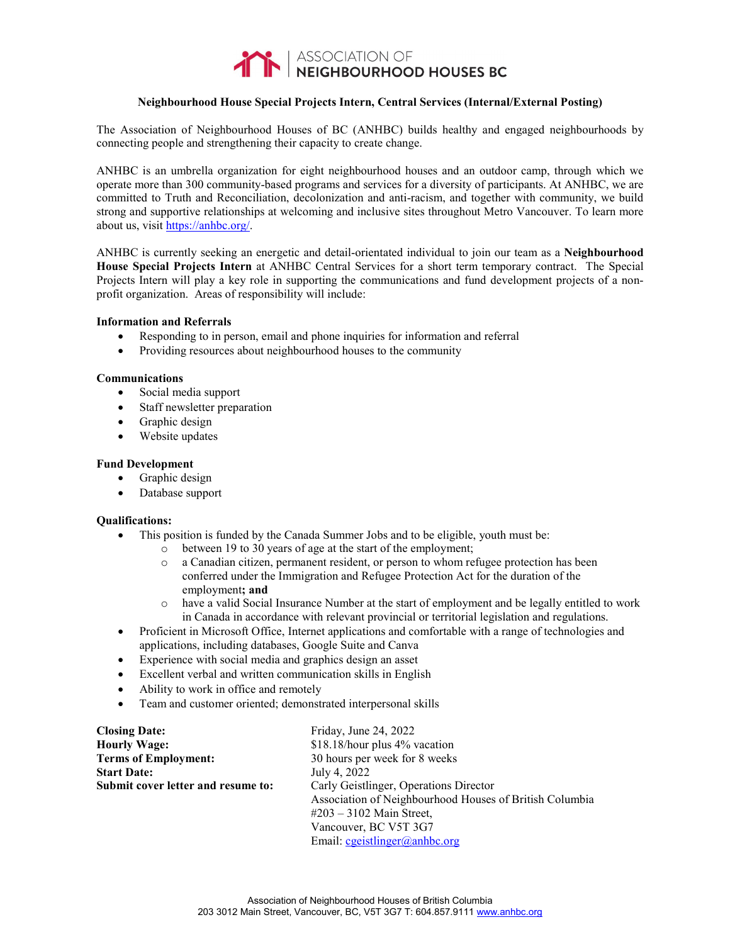

# **Neighbourhood House Special Projects Intern, Central Services (Internal/External Posting)**

The Association of Neighbourhood Houses of BC (ANHBC) builds healthy and engaged neighbourhoods by connecting people and strengthening their capacity to create change.

ANHBC is an umbrella organization for eight neighbourhood houses and an outdoor camp, through which we operate more than 300 community-based programs and services for a diversity of participants. At ANHBC, we are committed to Truth and Reconciliation, decolonization and anti-racism, and together with community, we build strong and supportive relationships at welcoming and inclusive sites throughout Metro Vancouver. To learn more about us, visit [https://anhbc.org/.](https://anhbc.org/)

ANHBC is currently seeking an energetic and detail-orientated individual to join our team as a **Neighbourhood House Special Projects Intern** at ANHBC Central Services for a short term temporary contract. The Special Projects Intern will play a key role in supporting the communications and fund development projects of a nonprofit organization. Areas of responsibility will include:

## **Information and Referrals**

- Responding to in person, email and phone inquiries for information and referral
- Providing resources about neighbourhood houses to the community

#### **Communications**

- Social media support
- Staff newsletter preparation
- Graphic design
- Website updates

## **Fund Development**

- Graphic design
- Database support

## **Qualifications:**

- This position is funded by the Canada Summer Jobs and to be eligible, youth must be:
	- $\circ$  between 19 to 30 years of age at the start of the employment;<br> $\circ$  a Canadian citizen, permanent resident, or person to whom re:
	- a Canadian citizen, permanent resident, or person to whom refugee protection has been conferred under the Immigration and Refugee Protection Act for the duration of the employment**; and**
	- o have a valid Social Insurance Number at the start of employment and be legally entitled to work in Canada in accordance with relevant provincial or territorial legislation and regulations.
- Proficient in Microsoft Office, Internet applications and comfortable with a range of technologies and applications, including databases, Google Suite and Canva
- Experience with social media and graphics design an asset
- Excellent verbal and written communication skills in English
- Ability to work in office and remotely
- Team and customer oriented; demonstrated interpersonal skills

| <b>Closing Date:</b>               | Friday, June 24, 2022                                   |
|------------------------------------|---------------------------------------------------------|
| <b>Hourly Wage:</b>                | \$18.18/hour plus 4% vacation                           |
| <b>Terms of Employment:</b>        | 30 hours per week for 8 weeks                           |
| <b>Start Date:</b>                 | July 4, 2022                                            |
| Submit cover letter and resume to: | Carly Geistlinger, Operations Director                  |
|                                    | Association of Neighbourhood Houses of British Columbia |
|                                    | $\#203 - 3102$ Main Street,                             |
|                                    | Vancouver, BC V5T 3G7                                   |
|                                    | Email: cgeistlinger@anhbc.org                           |